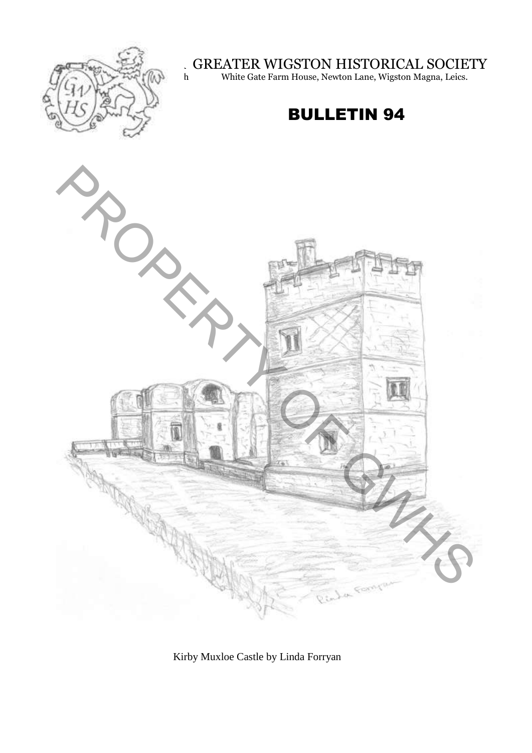

GREATER WIGSTON HISTORICAL SOCIETY

 $\mathbb{W}^{\text{per}}(\mathbb{N})$  h White Gate Farm House, Newton Lane, Wigston Magna, Leics.

## BULLETIN 94



Kirby Muxloe Castle by Linda Forryan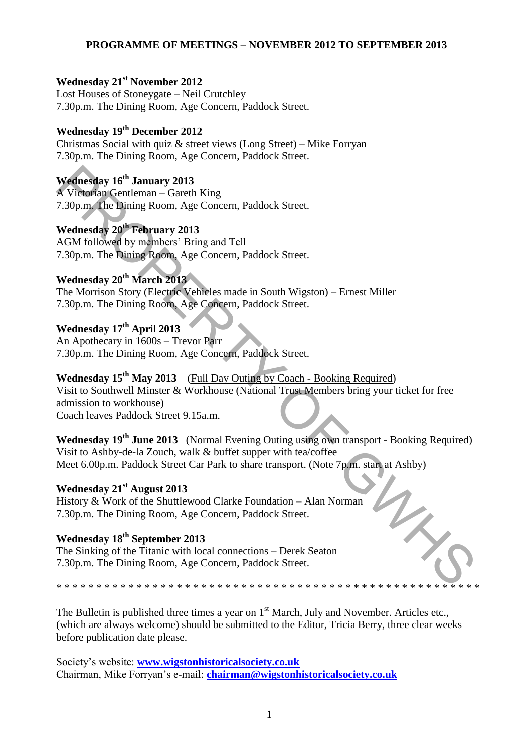#### **PROGRAMME OF MEETINGS – NOVEMBER 2012 TO SEPTEMBER 2013**

#### **Wednesday 21st November 2012**

Lost Houses of Stoneygate – Neil Crutchley 7.30p.m. The Dining Room, Age Concern, Paddock Street.

## **Wednesday 19th December 2012**

Christmas Social with quiz & street views (Long Street) – Mike Forryan 7.30p.m. The Dining Room, Age Concern, Paddock Street.

**Wednesday 16th January 2013**  A Victorian Gentleman – Gareth King 7.30p.m. The Dining Room, Age Concern, Paddock Street.

**Wednesday 20th February 2013**  AGM followed by members' Bring and Tell 7.30p.m. The Dining Room, Age Concern, Paddock Street.

## **Wednesday 20th March 2013**

The Morrison Story (Electric Vehicles made in South Wigston) – Ernest Miller 7.30p.m. The Dining Room, Age Concern, Paddock Street.

**Wednesday 17th April 2013**  An Apothecary in 1600s – Trevor Parr 7.30p.m. The Dining Room, Age Concern, Paddock Street.

**Wednesday 15th May 2013** (Full Day Outing by Coach - Booking Required) Visit to Southwell Minster & Workhouse (National Trust Members bring your ticket for free admission to workhouse) Coach leaves Paddock Street 9.15a.m. Wednesday 16<sup>th</sup> January 2013<br>
A Victorian Genelman – Guerth King<br>
A Victorian Genelman – Guerth King<br>
A Victorian Genelman – Guerth King<br>
T.30p.m. The Bining Room, Age Concern, Paddock Street.<br>
Wednesday 20<sup>th</sup> March 201

**Wednesday 19th June 2013** (Normal Evening Outing using own transport - Booking Required) Visit to Ashby-de-la Zouch, walk & buffet supper with tea/coffee Meet 6.00p.m. Paddock Street Car Park to share transport. (Note 7p.m. start at Ashby)

## **Wednesday 21st August 2013**

History & Work of the Shuttlewood Clarke Foundation – Alan Norman 7.30p.m. The Dining Room, Age Concern, Paddock Street.

## **Wednesday 18th September 2013**

The Sinking of the Titanic with local connections – Derek Seaton 7.30p.m. The Dining Room, Age Concern, Paddock Street.

\* \* \* \* \* \* \* \* \* \* \* \* \* \* \* \* \* \* \* \* \* \* \* \* \* \* \* \* \* \* \* \* \* \* \* \* \* \* \* \* \* \* \* \* \* \* \* \* \* \* \* \* \*

The Bulletin is published three times a year on  $1<sup>st</sup>$  March, July and November. Articles etc., (which are always welcome) should be submitted to the Editor, Tricia Berry, three clear weeks before publication date please.

Society's website: **[www.wigstonhistoricalsociety.co.uk](http://www.wigstonhistoricalsociety.co.uk/)** Chairman, Mike Forryan's e-mail: **[chairman@wigstonhistoricalsociety.co.uk](mailto:chairman@wigstonhistoricalsociety.co.uk)**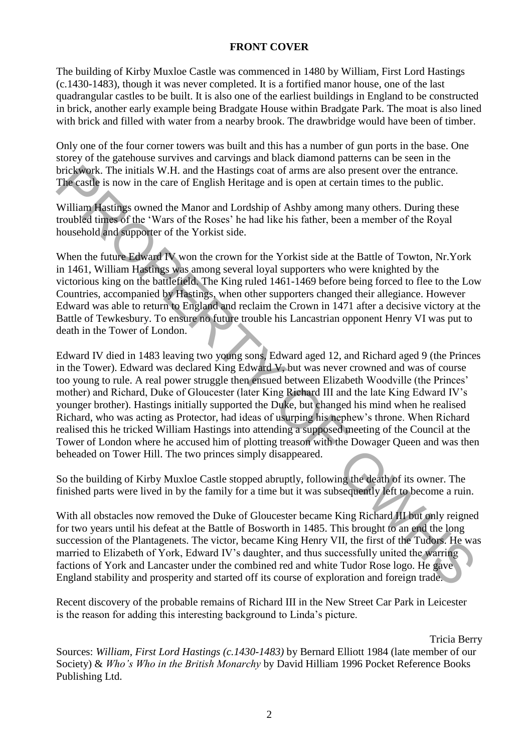#### **FRONT COVER**

The building of Kirby Muxloe Castle was commenced in 1480 by William, First Lord Hastings (c.1430-1483), though it was never completed. It is a fortified manor house, one of the last quadrangular castles to be built. It is also one of the earliest buildings in England to be constructed in brick, another early example being Bradgate House within Bradgate Park. The moat is also lined with brick and filled with water from a nearby brook. The drawbridge would have been of timber.

Only one of the four corner towers was built and this has a number of gun ports in the base. One storey of the gatehouse survives and carvings and black diamond patterns can be seen in the brickwork. The initials W.H. and the Hastings coat of arms are also present over the entrance. The castle is now in the care of English Heritage and is open at certain times to the public.

William Hastings owned the Manor and Lordship of Ashby among many others. During these troubled times of the 'Wars of the Roses' he had like his father, been a member of the Royal household and supporter of the Yorkist side.

When the future Edward IV won the crown for the Yorkist side at the Battle of Towton, Nr.York in 1461, William Hastings was among several loyal supporters who were knighted by the victorious king on the battlefield. The King ruled 1461-1469 before being forced to flee to the Low Countries, accompanied by Hastings, when other supporters changed their allegiance. However Edward was able to return to England and reclaim the Crown in 1471 after a decisive victory at the Battle of Tewkesbury. To ensure no future trouble his Lancastrian opponent Henry VI was put to death in the Tower of London.

Edward IV died in 1483 leaving two young sons, Edward aged 12, and Richard aged 9 (the Princes in the Tower). Edward was declared King Edward V, but was never crowned and was of course too young to rule. A real power struggle then ensued between Elizabeth Woodville (the Princes' mother) and Richard, Duke of Gloucester (later King Richard III and the late King Edward IV's younger brother). Hastings initially supported the Duke, but changed his mind when he realised Richard, who was acting as Protector, had ideas of usurping his nephew's throne. When Richard realised this he tricked William Hastings into attending a supposed meeting of the Council at the Tower of London where he accused him of plotting treason with the Dowager Queen and was then beheaded on Tower Hill. The two princes simply disappeared. brickwork. The initials W.H. and the Hassings coal of ams are also present over the entrance.<br>The castle is now in the care of English Heritage and is open at certain times to the public.<br>William Hastings owned the Manor a

So the building of Kirby Muxloe Castle stopped abruptly, following the death of its owner. The finished parts were lived in by the family for a time but it was subsequently left to become a ruin.

With all obstacles now removed the Duke of Gloucester became King Richard III but only reigned for two years until his defeat at the Battle of Bosworth in 1485. This brought to an end the long succession of the Plantagenets. The victor, became King Henry VII, the first of the Tudors. He was married to Elizabeth of York, Edward IV's daughter, and thus successfully united the warring factions of York and Lancaster under the combined red and white Tudor Rose logo. He gave England stability and prosperity and started off its course of exploration and foreign trade.

Recent discovery of the probable remains of Richard III in the New Street Car Park in Leicester is the reason for adding this interesting background to Linda's picture.

Tricia Berry

Sources: *William, First Lord Hastings (c.1430-1483)* by Bernard Elliott 1984 (late member of our Society) & *Who's Who in the British Monarchy* by David Hilliam 1996 Pocket Reference Books Publishing Ltd.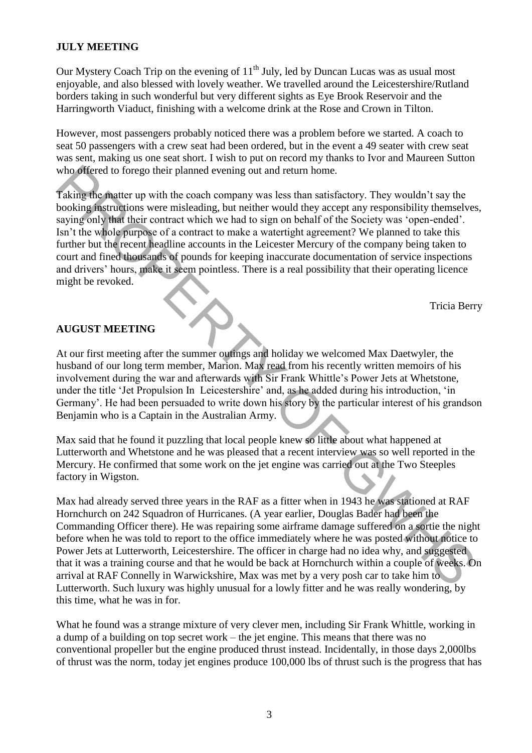#### **JULY MEETING**

Our Mystery Coach Trip on the evening of  $11<sup>th</sup>$  July, led by Duncan Lucas was as usual most enjoyable, and also blessed with lovely weather. We travelled around the Leicestershire/Rutland borders taking in such wonderful but very different sights as Eye Brook Reservoir and the Harringworth Viaduct, finishing with a welcome drink at the Rose and Crown in Tilton.

However, most passengers probably noticed there was a problem before we started. A coach to seat 50 passengers with a crew seat had been ordered, but in the event a 49 seater with crew seat was sent, making us one seat short. I wish to put on record my thanks to Ivor and Maureen Sutton who offered to forego their planned evening out and return home.

Taking the matter up with the coach company was less than satisfactory. They wouldn't say the booking instructions were misleading, but neither would they accept any responsibility themselves, saying only that their contract which we had to sign on behalf of the Society was 'open-ended'. Isn't the whole purpose of a contract to make a watertight agreement? We planned to take this further but the recent headline accounts in the Leicester Mercury of the company being taken to court and fined thousands of pounds for keeping inaccurate documentation of service inspections and drivers' hours, make it seem pointless. There is a real possibility that their operating licence might be revoked. who offered to forego their planned evening out and return home.<br>
Taking the matter any with the coal company was less than starfstatory. They wouldn't say the<br>
Taking the matter win the coal company was less than starfsta

Tricia Berry

#### **AUGUST MEETING**

At our first meeting after the summer outings and holiday we welcomed Max Daetwyler, the husband of our long term member, Marion. Max read from his recently written memoirs of his involvement during the war and afterwards with Sir Frank Whittle's Power Jets at Whetstone, under the title 'Jet Propulsion In Leicestershire' and, as he added during his introduction, 'in Germany'. He had been persuaded to write down his story by the particular interest of his grandson Benjamin who is a Captain in the Australian Army.

Max said that he found it puzzling that local people knew so little about what happened at Lutterworth and Whetstone and he was pleased that a recent interview was so well reported in the Mercury. He confirmed that some work on the jet engine was carried out at the Two Steeples factory in Wigston.

Max had already served three years in the RAF as a fitter when in 1943 he was stationed at RAF Hornchurch on 242 Squadron of Hurricanes. (A year earlier, Douglas Bader had been the Commanding Officer there). He was repairing some airframe damage suffered on a sortie the night before when he was told to report to the office immediately where he was posted without notice to Power Jets at Lutterworth, Leicestershire. The officer in charge had no idea why, and suggested that it was a training course and that he would be back at Hornchurch within a couple of weeks. On arrival at RAF Connelly in Warwickshire, Max was met by a very posh car to take him to Lutterworth. Such luxury was highly unusual for a lowly fitter and he was really wondering, by this time, what he was in for.

What he found was a strange mixture of very clever men, including Sir Frank Whittle, working in a dump of a building on top secret work – the jet engine. This means that there was no conventional propeller but the engine produced thrust instead. Incidentally, in those days 2,000lbs of thrust was the norm, today jet engines produce 100,000 lbs of thrust such is the progress that has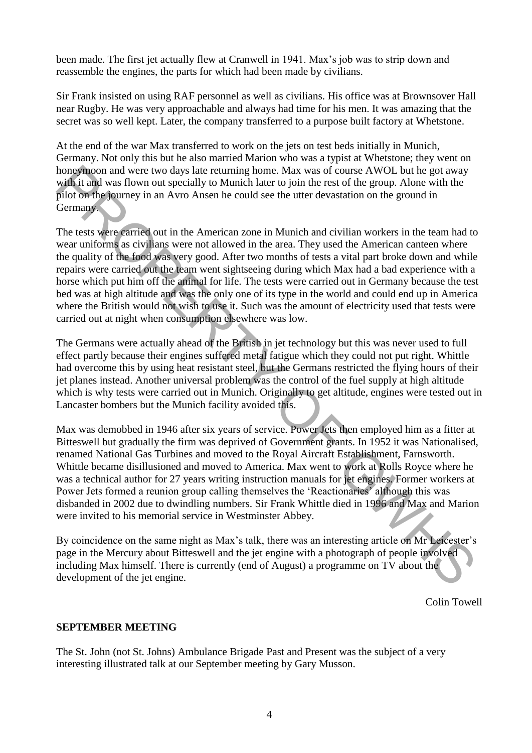been made. The first jet actually flew at Cranwell in 1941. Max's job was to strip down and reassemble the engines, the parts for which had been made by civilians.

Sir Frank insisted on using RAF personnel as well as civilians. His office was at Brownsover Hall near Rugby. He was very approachable and always had time for his men. It was amazing that the secret was so well kept. Later, the company transferred to a purpose built factory at Whetstone.

At the end of the war Max transferred to work on the jets on test beds initially in Munich, Germany. Not only this but he also married Marion who was a typist at Whetstone; they went on honeymoon and were two days late returning home. Max was of course AWOL but he got away with it and was flown out specially to Munich later to join the rest of the group. Alone with the pilot on the journey in an Avro Ansen he could see the utter devastation on the ground in Germany.

The tests were carried out in the American zone in Munich and civilian workers in the team had to wear uniforms as civilians were not allowed in the area. They used the American canteen where the quality of the food was very good. After two months of tests a vital part broke down and while repairs were carried out the team went sightseeing during which Max had a bad experience with a horse which put him off the animal for life. The tests were carried out in Germany because the test bed was at high altitude and was the only one of its type in the world and could end up in America where the British would not wish to use it. Such was the amount of electricity used that tests were carried out at night when consumption elsewhere was low. hompshap and were two days late retuning home. Max was of course AWOL but he got away with it and was flown out specially to Munich later to join the rest of the group. Alone with the parameter two days later etcar in the

The Germans were actually ahead of the British in jet technology but this was never used to full effect partly because their engines suffered metal fatigue which they could not put right. Whittle had overcome this by using heat resistant steel, but the Germans restricted the flying hours of their jet planes instead. Another universal problem was the control of the fuel supply at high altitude which is why tests were carried out in Munich. Originally to get altitude, engines were tested out in Lancaster bombers but the Munich facility avoided this.

Max was demobbed in 1946 after six years of service. Power Jets then employed him as a fitter at Bitteswell but gradually the firm was deprived of Government grants. In 1952 it was Nationalised, renamed National Gas Turbines and moved to the Royal Aircraft Establishment, Farnsworth. Whittle became disillusioned and moved to America. Max went to work at Rolls Royce where he was a technical author for 27 years writing instruction manuals for jet engines. Former workers at Power Jets formed a reunion group calling themselves the 'Reactionaries' although this was disbanded in 2002 due to dwindling numbers. Sir Frank Whittle died in 1996 and Max and Marion were invited to his memorial service in Westminster Abbey.

By coincidence on the same night as Max's talk, there was an interesting article on Mr Leicester's page in the Mercury about Bitteswell and the jet engine with a photograph of people involved including Max himself. There is currently (end of August) a programme on TV about the development of the jet engine.

Colin Towell

#### **SEPTEMBER MEETING**

The St. John (not St. Johns) Ambulance Brigade Past and Present was the subject of a very interesting illustrated talk at our September meeting by Gary Musson.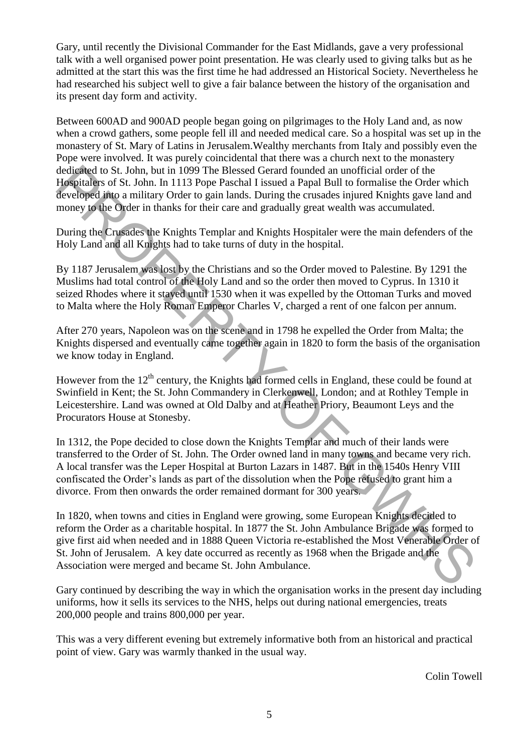Gary, until recently the Divisional Commander for the East Midlands, gave a very professional talk with a well organised power point presentation. He was clearly used to giving talks but as he admitted at the start this was the first time he had addressed an Historical Society. Nevertheless he had researched his subject well to give a fair balance between the history of the organisation and its present day form and activity.

Between 600AD and 900AD people began going on pilgrimages to the Holy Land and, as now when a crowd gathers, some people fell ill and needed medical care. So a hospital was set up in the monastery of St. Mary of Latins in Jerusalem.Wealthy merchants from Italy and possibly even the Pope were involved. It was purely coincidental that there was a church next to the monastery dedicated to St. John, but in 1099 The Blessed Gerard founded an unofficial order of the Hospitalers of St. John. In 1113 Pope Paschal I issued a Papal Bull to formalise the Order which developed into a military Order to gain lands. During the crusades injured Knights gave land and money to the Order in thanks for their care and gradually great wealth was accumulated.

During the Crusades the Knights Templar and Knights Hospitaler were the main defenders of the Holy Land and all Knights had to take turns of duty in the hospital.

By 1187 Jerusalem was lost by the Christians and so the Order moved to Palestine. By 1291 the Muslims had total control of the Holy Land and so the order then moved to Cyprus. In 1310 it seized Rhodes where it stayed until 1530 when it was expelled by the Ottoman Turks and moved to Malta where the Holy Roman Emperor Charles V, charged a rent of one falcon per annum.

After 270 years, Napoleon was on the scene and in 1798 he expelled the Order from Malta; the Knights dispersed and eventually came together again in 1820 to form the basis of the organisation we know today in England.

However from the  $12<sup>th</sup>$  century, the Knights had formed cells in England, these could be found at Swinfield in Kent; the St. John Commandery in Clerkenwell, London; and at Rothley Temple in Leicestershire. Land was owned at Old Dalby and at Heather Priory, Beaumont Leys and the Procurators House at Stonesby.

In 1312, the Pope decided to close down the Knights Templar and much of their lands were transferred to the Order of St. John. The Order owned land in many towns and became very rich. A local transfer was the Leper Hospital at Burton Lazars in 1487. But in the 1540s Henry VIII confiscated the Order's lands as part of the dissolution when the Pope refused to grant him a divorce. From then onwards the order remained dormant for 300 years.

In 1820, when towns and cities in England were growing, some European Knights decided to reform the Order as a charitable hospital. In 1877 the St. John Ambulance Brigade was formed to give first aid when needed and in 1888 Queen Victoria re-established the Most Venerable Order of St. John of Jerusalem. A key date occurred as recently as 1968 when the Brigade and the Association were merged and became St. John Ambulance. dedicated to St. John. but in 1099 The Blessed Gerard founded an unofficial order of the Brigades of St. John, h 1113 Pope Paschal I issued a Papal Bull to formalise the Order which developed into a military Order to gain

Gary continued by describing the way in which the organisation works in the present day including uniforms, how it sells its services to the NHS, helps out during national emergencies, treats 200,000 people and trains 800,000 per year.

This was a very different evening but extremely informative both from an historical and practical point of view. Gary was warmly thanked in the usual way.

Colin Towell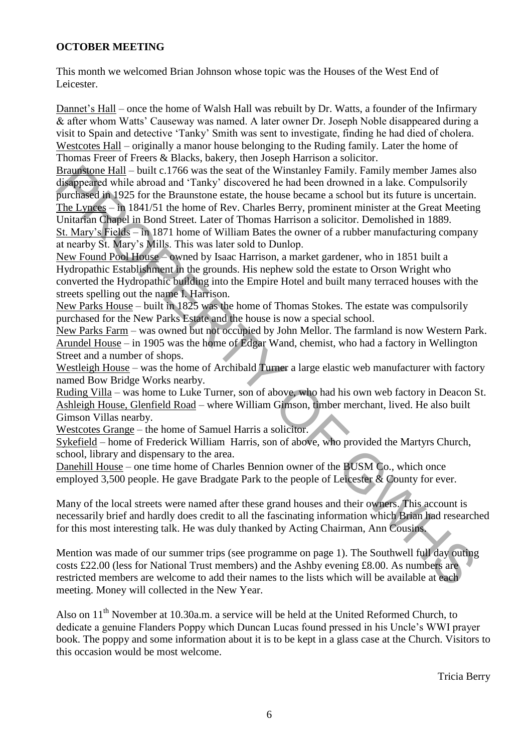#### **OCTOBER MEETING**

This month we welcomed Brian Johnson whose topic was the Houses of the West End of Leicester.

Dannet's Hall – once the home of Walsh Hall was rebuilt by Dr. Watts, a founder of the Infirmary & after whom Watts' Causeway was named. A later owner Dr. Joseph Noble disappeared during a visit to Spain and detective 'Tanky' Smith was sent to investigate, finding he had died of cholera. Westcotes Hall – originally a manor house belonging to the Ruding family. Later the home of Thomas Freer of Freers & Blacks, bakery, then Joseph Harrison a solicitor.

Braunstone Hall – built c.1766 was the seat of the Winstanley Family. Family member James also disappeared while abroad and 'Tanky' discovered he had been drowned in a lake. Compulsorily purchased in 1925 for the Braunstone estate, the house became a school but its future is uncertain. The Lynces – in 1841/51 the home of Rev. Charles Berry, prominent minister at the Great Meeting Unitarian Chapel in Bond Street. Later of Thomas Harrison a solicitor. Demolished in 1889. St. Mary's Fields – in 1871 home of William Bates the owner of a rubber manufacturing company at nearby St. Mary's Mills. This was later sold to Dunlop. Branus's one Hall – built c.1766 was the seat of the Winstanley Family. Earning the methane also the Night property and the Schemeter and the Schemeter in the Compulsority purchased in 1925 for the Braunstone state, the b

New Found Pool House – owned by Isaac Harrison, a market gardener, who in 1851 built a Hydropathic Establishment in the grounds. His nephew sold the estate to Orson Wright who converted the Hydropathic building into the Empire Hotel and built many terraced houses with the streets spelling out the name I. Harrison.

New Parks House – built in 1825 was the home of Thomas Stokes. The estate was compulsorily purchased for the New Parks Estate and the house is now a special school.

New Parks Farm – was owned but not occupied by John Mellor. The farmland is now Western Park. Arundel House – in 1905 was the home of Edgar Wand, chemist, who had a factory in Wellington Street and a number of shops.

Westleigh House – was the home of Archibald Turner a large elastic web manufacturer with factory named Bow Bridge Works nearby.

Ruding Villa – was home to Luke Turner, son of above, who had his own web factory in Deacon St. Ashleigh House, Glenfield Road – where William Gimson, timber merchant, lived. He also built Gimson Villas nearby.

Westcotes Grange – the home of Samuel Harris a solicitor.

Sykefield – home of Frederick William Harris, son of above, who provided the Martyrs Church, school, library and dispensary to the area.

Danehill House – one time home of Charles Bennion owner of the BUSM Co., which once employed 3,500 people. He gave Bradgate Park to the people of Leicester & County for ever.

Many of the local streets were named after these grand houses and their owners. This account is necessarily brief and hardly does credit to all the fascinating information which Brian had researched for this most interesting talk. He was duly thanked by Acting Chairman, Ann Cousins.

Mention was made of our summer trips (see programme on page 1). The Southwell full day outing costs £22.00 (less for National Trust members) and the Ashby evening £8.00. As numbers are restricted members are welcome to add their names to the lists which will be available at each meeting. Money will collected in the New Year.

Also on  $11<sup>th</sup>$  November at 10.30a.m. a service will be held at the United Reformed Church, to dedicate a genuine Flanders Poppy which Duncan Lucas found pressed in his Uncle's WWI prayer book. The poppy and some information about it is to be kept in a glass case at the Church. Visitors to this occasion would be most welcome.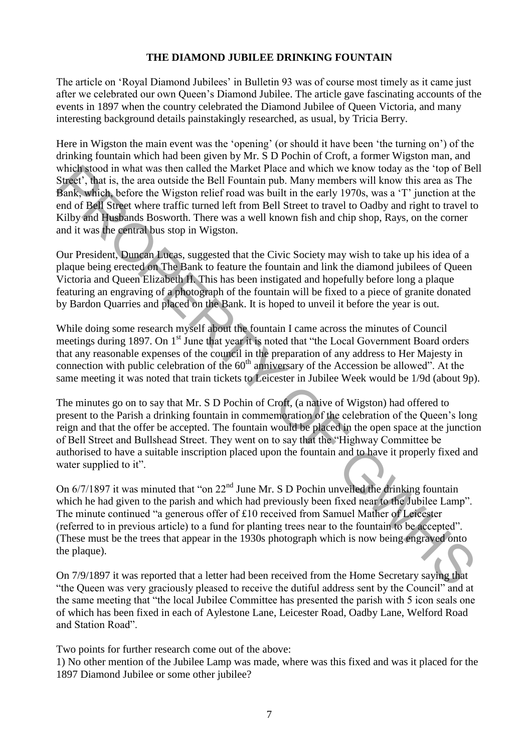#### **THE DIAMOND JUBILEE DRINKING FOUNTAIN**

The article on 'Royal Diamond Jubilees' in Bulletin 93 was of course most timely as it came just after we celebrated our own Queen's Diamond Jubilee. The article gave fascinating accounts of the events in 1897 when the country celebrated the Diamond Jubilee of Queen Victoria, and many interesting background details painstakingly researched, as usual, by Tricia Berry.

Here in Wigston the main event was the 'opening' (or should it have been 'the turning on') of the drinking fountain which had been given by Mr. S D Pochin of Croft, a former Wigston man, and which stood in what was then called the Market Place and which we know today as the 'top of Bell Street', that is, the area outside the Bell Fountain pub. Many members will know this area as The Bank, which, before the Wigston relief road was built in the early 1970s, was a 'T' junction at the end of Bell Street where traffic turned left from Bell Street to travel to Oadby and right to travel to Kilby and Husbands Bosworth. There was a well known fish and chip shop, Rays, on the corner and it was the central bus stop in Wigston.

Our President, Duncan Lucas, suggested that the Civic Society may wish to take up his idea of a plaque being erected on The Bank to feature the fountain and link the diamond jubilees of Queen Victoria and Queen Elizabeth II. This has been instigated and hopefully before long a plaque featuring an engraving of a photograph of the fountain will be fixed to a piece of granite donated by Bardon Quarries and placed on the Bank. It is hoped to unveil it before the year is out.

While doing some research myself about the fountain I came across the minutes of Council meetings during 1897. On 1<sup>st</sup> June that year it is noted that "the Local Government Board orders" that any reasonable expenses of the council in the preparation of any address to Her Majesty in connection with public celebration of the  $60<sup>th</sup>$  anniversary of the Accession be allowed". At the same meeting it was noted that train tickets to Leicester in Jubilee Week would be 1/9d (about 9p).

The minutes go on to say that Mr. S D Pochin of Croft, (a native of Wigston) had offered to present to the Parish a drinking fountain in commemoration of the celebration of the Queen's long reign and that the offer be accepted. The fountain would be placed in the open space at the junction of Bell Street and Bullshead Street. They went on to say that the "Highway Committee be authorised to have a suitable inscription placed upon the fountain and to have it properly fixed and water supplied to it". when's stood an what was from called the Market Place and which we know today as the 'top of Bell<br>Since', that is, the arca outside the Bell Fountain pub. Many members will know this area as The Bank, which, before the Wi

On 6/7/1897 it was minuted that "on 22<sup>nd</sup> June Mr. S D Pochin unveiled the drinking fountain which he had given to the parish and which had previously been fixed near to the Jubilee Lamp". The minute continued "a generous offer of £10 received from Samuel Mather of Leicester (referred to in previous article) to a fund for planting trees near to the fountain to be accepted". (These must be the trees that appear in the 1930s photograph which is now being engraved onto the plaque).

On 7/9/1897 it was reported that a letter had been received from the Home Secretary saying that "the Queen was very graciously pleased to receive the dutiful address sent by the Council" and at the same meeting that "the local Jubilee Committee has presented the parish with 5 icon seals one of which has been fixed in each of Aylestone Lane, Leicester Road, Oadby Lane, Welford Road and Station Road".

Two points for further research come out of the above:

1) No other mention of the Jubilee Lamp was made, where was this fixed and was it placed for the 1897 Diamond Jubilee or some other jubilee?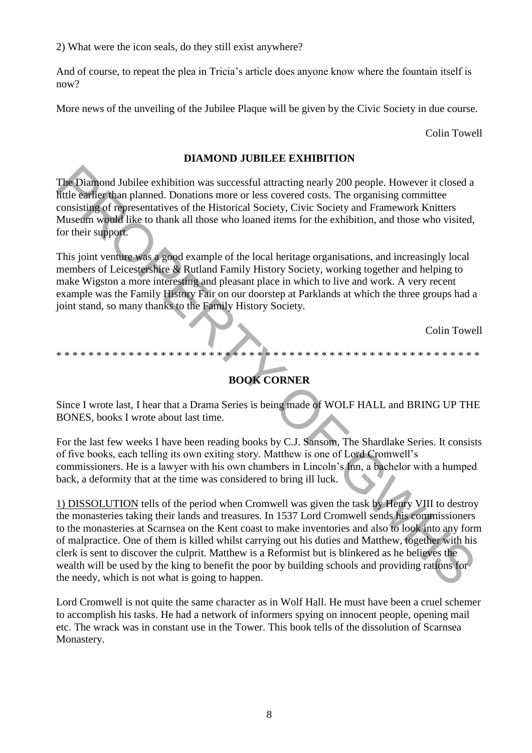2) What were the icon seals, do they still exist anywhere?

And of course, to repeat the plea in Tricia's article does anyone know where the fountain itself is now?

More news of the unveiling of the Jubilee Plaque will be given by the Civic Society in due course.

Colin Towell

#### **DIAMOND JUBILEE EXHIBITION**

The Diamond Jubilee exhibition was successful attracting nearly 200 people. However it closed a little earlier than planned. Donations more or less covered costs. The organising committee consisting of representatives of the Historical Society, Civic Society and Framework Knitters Museum would like to thank all those who loaned items for the exhibition, and those who visited, for their support.

This joint venture was a good example of the local heritage organisations, and increasingly local members of Leicestershire & Rutland Family History Society, working together and helping to make Wigston a more interesting and pleasant place in which to live and work. A very recent example was the Family History Fair on our doorstep at Parklands at which the three groups had a joint stand, so many thanks to the Family History Society.

Colin Towell

# **BOOK CORNER**

\* \* \* \* \* \* \* \* \* \* \* \* \* \* \* \* \* \* \* \* \* \* \* \* \* \* \* \* \* \* \* \* \* \* \* \* \* \* \* \* \* \* \* \* \* \* \* \* \* \* \* \* \*

Since I wrote last, I hear that a Drama Series is being made of WOLF HALL and BRING UP THE BONES, books I wrote about last time.

For the last few weeks I have been reading books by C.J. Sansom, The Shardlake Series. It consists of five books, each telling its own exiting story. Matthew is one of Lord Cromwell's commissioners. He is a lawyer with his own chambers in Lincoln's Inn, a bachelor with a humped back, a deformity that at the time was considered to bring ill luck.

1) DISSOLUTION tells of the period when Cromwell was given the task by Henry VIII to destroy the monasteries taking their lands and treasures. In 1537 Lord Cromwell sends his commissioners to the monasteries at Scarnsea on the Kent coast to make inventories and also to look into any form of malpractice. One of them is killed whilst carrying out his duties and Matthew, together with his clerk is sent to discover the culprit. Matthew is a Reformist but is blinkered as he believes the wealth will be used by the king to benefit the poor by building schools and providing rations for the needy, which is not what is going to happen. The Diamond Jubilee exhibition was successful attracting nearly 200 people. However it closed a<br>nule can'te than planned. Domatos more or less covered costs. The organising committees<br>consisting of representatives of the

Lord Cromwell is not quite the same character as in Wolf Hall. He must have been a cruel schemer to accomplish his tasks. He had a network of informers spying on innocent people, opening mail etc. The wrack was in constant use in the Tower. This book tells of the dissolution of Scarnsea Monastery.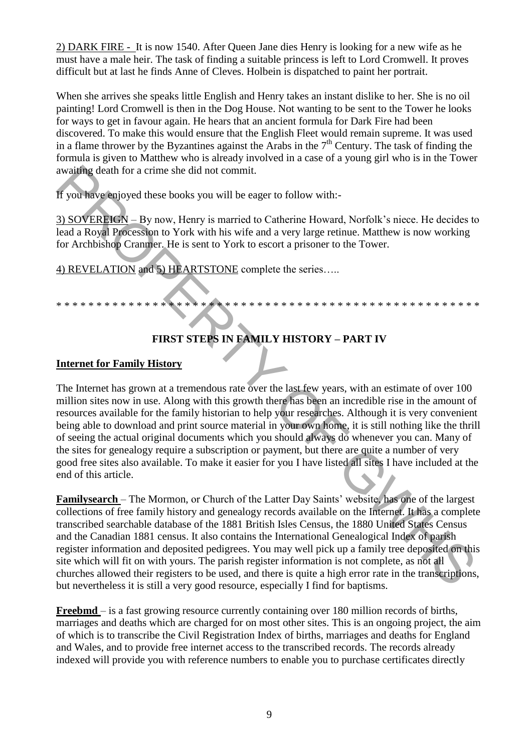2) DARK FIRE - It is now 1540. After Queen Jane dies Henry is looking for a new wife as he must have a male heir. The task of finding a suitable princess is left to Lord Cromwell. It proves difficult but at last he finds Anne of Cleves. Holbein is dispatched to paint her portrait.

When she arrives she speaks little English and Henry takes an instant dislike to her. She is no oil painting! Lord Cromwell is then in the Dog House. Not wanting to be sent to the Tower he looks for ways to get in favour again. He hears that an ancient formula for Dark Fire had been discovered. To make this would ensure that the English Fleet would remain supreme. It was used in a flame thrower by the Byzantines against the Arabs in the  $7<sup>th</sup>$  Century. The task of finding the formula is given to Matthew who is already involved in a case of a young girl who is in the Tower awaiting death for a crime she did not commit.

If you have enjoyed these books you will be eager to follow with:-

3) SOVEREIGN – By now, Henry is married to Catherine Howard, Norfolk's niece. He decides to lead a Royal Procession to York with his wife and a very large retinue. Matthew is now working for Archbishop Cranmer. He is sent to York to escort a prisoner to the Tower.

4) REVELATION and 5) HEARTSTONE complete the series.....

## **FIRST STEPS IN FAMILY HISTORY – PART IV**

\* \* \* \* \* \* \* \* \* \* \* \* \* \* \* \* \* \* \* \* \* \* \* \* \* \* \* \* \* \* \* \* \* \* \* \* \* \* \* \* \* \* \* \* \* \* \* \* \* \* \* \* \*

## **Internet for Family History**

The Internet has grown at a tremendous rate over the last few years, with an estimate of over 100 million sites now in use. Along with this growth there has been an incredible rise in the amount of resources available for the family historian to help your researches. Although it is very convenient being able to download and print source material in your own home, it is still nothing like the thrill of seeing the actual original documents which you should always do whenever you can. Many of the sites for genealogy require a subscription or payment, but there are quite a number of very good free sites also available. To make it easier for you I have listed all sites I have included at the end of this article. availing death for a crime she did not conmit.<br>
If you have anjoyed these books you will be eager to follow with:-<br>
3) SOVERENCEN - By now, Henry is married to Catherine Howard, Norfolk's niece. He decides te<br>
lead a Royal

**Familysearch** – The Mormon, or Church of the Latter Day Saints' website, has one of the largest collections of free family history and genealogy records available on the Internet. It has a complete transcribed searchable database of the 1881 British Isles Census, the 1880 United States Census and the Canadian 1881 census. It also contains the International Genealogical Index of parish register information and deposited pedigrees. You may well pick up a family tree deposited on this site which will fit on with yours. The parish register information is not complete, as not all churches allowed their registers to be used, and there is quite a high error rate in the transcriptions, but nevertheless it is still a very good resource, especially I find for baptisms.

**Freebmd** – is a fast growing resource currently containing over 180 million records of births, marriages and deaths which are charged for on most other sites. This is an ongoing project, the aim of which is to transcribe the Civil Registration Index of births, marriages and deaths for England and Wales, and to provide free internet access to the transcribed records. The records already indexed will provide you with reference numbers to enable you to purchase certificates directly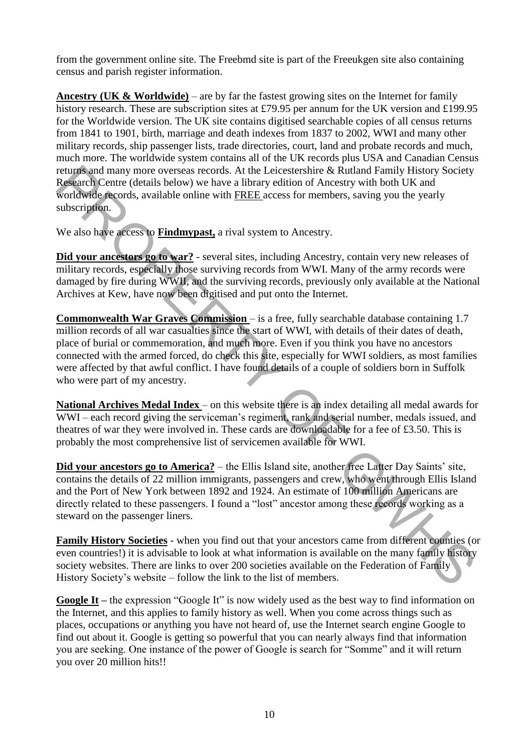from the government online site. The Freebmd site is part of the Freeukgen site also containing census and parish register information.

**Ancestry (UK & Worldwide)** – are by far the fastest growing sites on the Internet for family history research. These are subscription sites at £79.95 per annum for the UK version and £199.95 for the Worldwide version. The UK site contains digitised searchable copies of all census returns from 1841 to 1901, birth, marriage and death indexes from 1837 to 2002, WWI and many other military records, ship passenger lists, trade directories, court, land and probate records and much, much more. The worldwide system contains all of the UK records plus USA and Canadian Census returns and many more overseas records. At the Leicestershire & Rutland Family History Society Research Centre (details below) we have a library edition of Ancestry with both UK and worldwide records, available online with FREE access for members, saving you the yearly subscription.

We also have access to **Findmypast,** a rival system to Ancestry.

**Did your ancestors go to war?** - several sites, including Ancestry, contain very new releases of military records, especially those surviving records from WWI. Many of the army records were damaged by fire during WWII, and the surviving records, previously only available at the National Archives at Kew, have now been digitised and put onto the Internet.

**Commonwealth War Graves Commission** – is a free, fully searchable database containing 1.7 million records of all war casualties since the start of WWI, with details of their dates of death, place of burial or commemoration, and much more. Even if you think you have no ancestors connected with the armed forced, do check this site, especially for WWI soldiers, as most families were affected by that awful conflict. I have found details of a couple of soldiers born in Suffolk who were part of my ancestry. returns and many more overseas records. At the Leicestershire & Rolland Family History Society<br>Research Centre (details below) we have a library edition of Ancestry with both UK and<br>Westerdate econds, available online with

**National Archives Medal Index** – on this website there is an index detailing all medal awards for WWI – each record giving the serviceman's regiment, rank and serial number, medals issued, and theatres of war they were involved in. These cards are downloadable for a fee of £3.50. This is probably the most comprehensive list of servicemen available for WWI.

**Did your ancestors go to America?** – the Ellis Island site, another free Latter Day Saints' site, contains the details of 22 million immigrants, passengers and crew, who went through Ellis Island and the Port of New York between 1892 and 1924. An estimate of 100 million Americans are directly related to these passengers. I found a "lost" ancestor among these records working as a steward on the passenger liners.

**Family History Societies** - when you find out that your ancestors came from different counties (or even countries!) it is advisable to look at what information is available on the many family history society websites. There are links to over 200 societies available on the Federation of Family History Society's website – follow the link to the list of members.

**Google It** – the expression "Google It" is now widely used as the best way to find information on the Internet, and this applies to family history as well. When you come across things such as places, occupations or anything you have not heard of, use the Internet search engine Google to find out about it. Google is getting so powerful that you can nearly always find that information you are seeking. One instance of the power of Google is search for "Somme" and it will return you over 20 million hits!!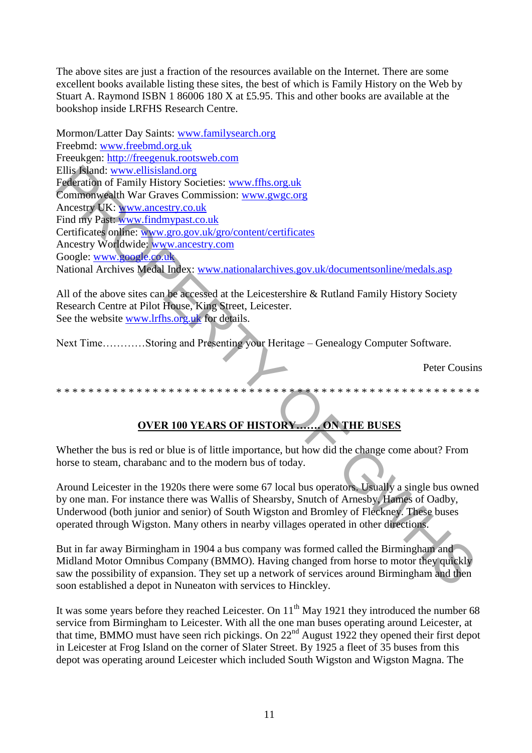The above sites are just a fraction of the resources available on the Internet. There are some excellent books available listing these sites, the best of which is Family History on the Web by Stuart A. Raymond ISBN 1 86006 180 X at £5.95. This and other books are available at the bookshop inside LRFHS Research Centre.

Mormon/Latter Day Saints: [www.familysearch.org](http://www.familysearch.org/) Freebmd: [www.freebmd.org.uk](http://www.freebmd.org.uk/) Freeukgen: [http://freegenuk.rootsweb.com](http://freegenuk.rootsweb.com/) Ellis Island: www.ellisisland.org Federation of Family History Societies: www.ffhs.org.uk Commonwealth War Graves Commission: www.gwgc.org Ancestry UK: www.ancestry.co.uk Find my Past: www.findmypast.co.uk Certificates online: www.gro.gov.uk/gro/content/certificates Ancestry Worldwide: www.ancestry.com Google: www.google.co.uk National Archives Medal Index: www.nationalarchives.gov.uk/documentsonline/medals.asp Ellis Nand: www.edissimatory<br>
Engleration of Family History Societies: www.ffts.org.uk<br>
Commonwealth War Graves Commission: www.gwgc.org<br>
Ancestry UK: www.gwgc.com<br>
Find my Past-www.findmynast.co.uk<br>
Find my Past-www.findm

All of the above sites can be accessed at the Leicestershire & Rutland Family History Society Research Centre at Pilot House, King Street, Leicester. See the website www.lrfhs.org.uk for details.

Next Time…………Storing and Presenting your Heritage – Genealogy Computer Software.

Peter Cousins

## \* \* \* \* \* \* \* \* \* \* \* \* \* \* \* \* \* \* \* \* \* \* \* \* \* \* \* \* \* \* \* \* \* \* \* \* \* \* \* \* \* \* \* \* \* \* \* \* \* \* \* \* \*

## **OVER 100 YEARS OF HISTORY……. ON THE BUSES**

Whether the bus is red or blue is of little importance, but how did the change come about? From horse to steam, charabanc and to the modern bus of today.

Around Leicester in the 1920s there were some 67 local bus operators. Usually a single bus owned by one man. For instance there was Wallis of Shearsby, Snutch of Arnesby, Hames of Oadby, Underwood (both junior and senior) of South Wigston and Bromley of Fleckney. These buses operated through Wigston. Many others in nearby villages operated in other directions.

But in far away Birmingham in 1904 a bus company was formed called the Birmingham and Midland Motor Omnibus Company (BMMO). Having changed from horse to motor they quickly saw the possibility of expansion. They set up a network of services around Birmingham and then soon established a depot in Nuneaton with services to Hinckley.

It was some years before they reached Leicester. On  $11<sup>th</sup>$  May 1921 they introduced the number 68 service from Birmingham to Leicester. With all the one man buses operating around Leicester, at that time, BMMO must have seen rich pickings. On 22<sup>nd</sup> August 1922 they opened their first depot in Leicester at Frog Island on the corner of Slater Street. By 1925 a fleet of 35 buses from this depot was operating around Leicester which included South Wigston and Wigston Magna. The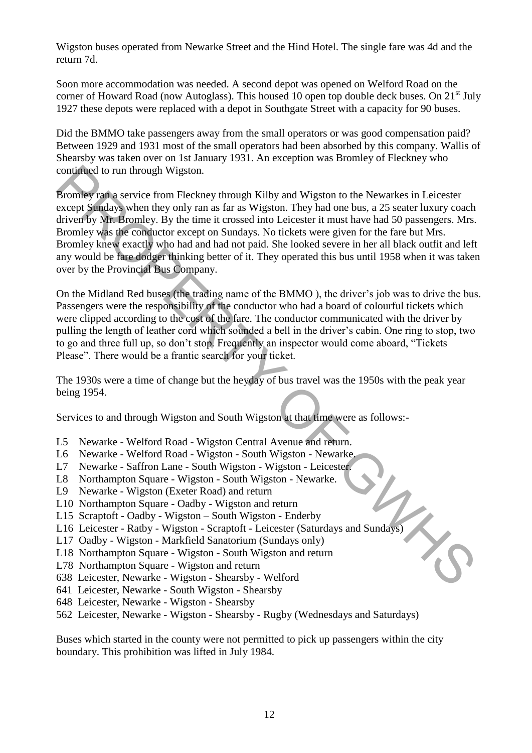Wigston buses operated from Newarke Street and the Hind Hotel. The single fare was 4d and the return 7d.

Soon more accommodation was needed. A second depot was opened on Welford Road on the corner of Howard Road (now Autoglass). This housed 10 open top double deck buses. On  $21<sup>st</sup>$  July 1927 these depots were replaced with a depot in Southgate Street with a capacity for 90 buses.

Did the BMMO take passengers away from the small operators or was good compensation paid? Between 1929 and 1931 most of the small operators had been absorbed by this company. Wallis of Shearsby was taken over on 1st January 1931. An exception was Bromley of Fleckney who continued to run through Wigston.

Bromley ran a service from Fleckney through Kilby and Wigston to the Newarkes in Leicester except Sundays when they only ran as far as Wigston. They had one bus, a 25 seater luxury coach driven by Mr. Bromley. By the time it crossed into Leicester it must have had 50 passengers. Mrs. Bromley was the conductor except on Sundays. No tickets were given for the fare but Mrs. Bromley knew exactly who had and had not paid. She looked severe in her all black outfit and left any would be fare dodger thinking better of it. They operated this bus until 1958 when it was taken over by the Provincial Bus Company. continued to run through Wigston.<br>
Bromley para service from Flecknete through Kilby and Wigston to the Newarkes in Leicester<br>
Bromley para service from Flecknete through Kilby and Wigston to the Newarkes in Leicester<br>
dri

On the Midland Red buses (the trading name of the BMMO ), the driver's job was to drive the bus. Passengers were the responsibility of the conductor who had a board of colourful tickets which were clipped according to the cost of the fare. The conductor communicated with the driver by pulling the length of leather cord which sounded a bell in the driver's cabin. One ring to stop, two to go and three full up, so don't stop. Frequently an inspector would come aboard, "Tickets Please". There would be a frantic search for your ticket.

The 1930s were a time of change but the heyday of bus travel was the 1950s with the peak year being 1954.

Services to and through Wigston and South Wigston at that time were as follows:-

- L5 Newarke Welford Road Wigston Central Avenue and return.
- L6 Newarke Welford Road Wigston South Wigston Newarke.
- L7 Newarke Saffron Lane South Wigston Wigston Leicester.
- L8 Northampton Square Wigston South Wigston Newarke.
- L9 Newarke Wigston (Exeter Road) and return
- L10 Northampton Square Oadby Wigston and return
- L15 Scraptoft Oadby Wigston South Wigston Enderby
- L16 Leicester Ratby Wigston Scraptoft Leicester (Saturdays and Sundays)
- L17 Oadby Wigston Markfield Sanatorium (Sundays only)
- L18 Northampton Square Wigston South Wigston and return
- L78 Northampton Square Wigston and return
- 638 Leicester, Newarke Wigston Shearsby Welford
- 641 Leicester, Newarke South Wigston Shearsby
- 648 Leicester, Newarke Wigston Shearsby
- 562 Leicester, Newarke Wigston Shearsby Rugby (Wednesdays and Saturdays)

Buses which started in the county were not permitted to pick up passengers within the city boundary. This prohibition was lifted in July 1984.